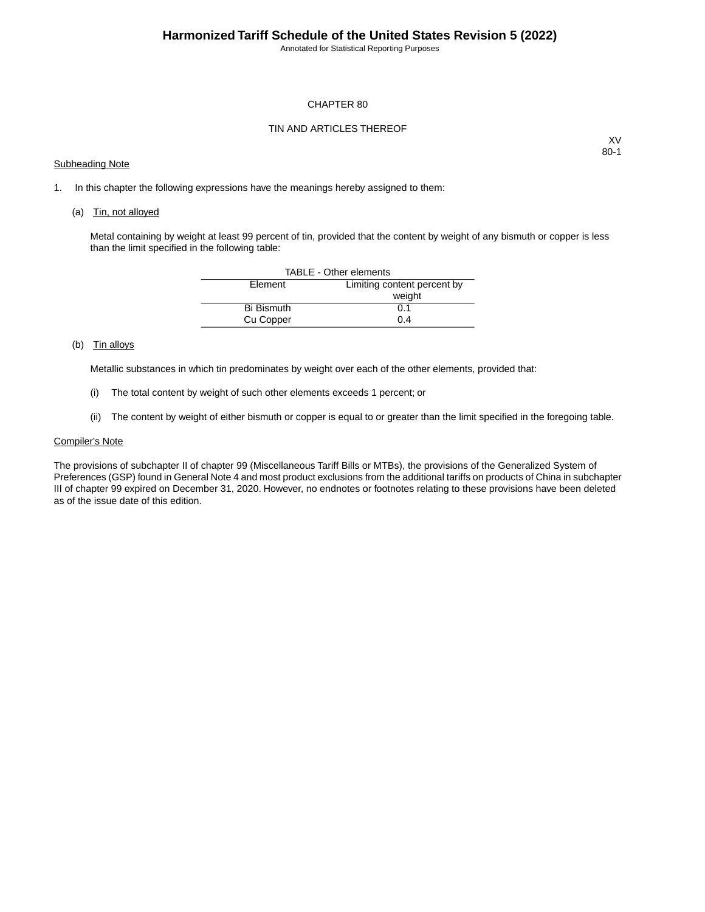Annotated for Statistical Reporting Purposes

## CHAPTER 80

# TIN AND ARTICLES THEREOF

## Subheading Note

XV 80-1

1. In this chapter the following expressions have the meanings hereby assigned to them:

#### (a) Tin, not alloyed

Metal containing by weight at least 99 percent of tin, provided that the content by weight of any bismuth or copper is less than the limit specified in the following table:

| TABLE - Other elements |                             |  |  |  |  |  |
|------------------------|-----------------------------|--|--|--|--|--|
| Element                | Limiting content percent by |  |  |  |  |  |
|                        | weight                      |  |  |  |  |  |
| <b>Bi Bismuth</b>      | 0.1                         |  |  |  |  |  |
| Cu Copper              | 0.4                         |  |  |  |  |  |

## (b) Tin alloys

Metallic substances in which tin predominates by weight over each of the other elements, provided that:

- (i) The total content by weight of such other elements exceeds 1 percent; or
- (ii) The content by weight of either bismuth or copper is equal to or greater than the limit specified in the foregoing table.

## Compiler's Note

The provisions of subchapter II of chapter 99 (Miscellaneous Tariff Bills or MTBs), the provisions of the Generalized System of Preferences (GSP) found in General Note 4 and most product exclusions from the additional tariffs on products of China in subchapter III of chapter 99 expired on December 31, 2020. However, no endnotes or footnotes relating to these provisions have been deleted as of the issue date of this edition.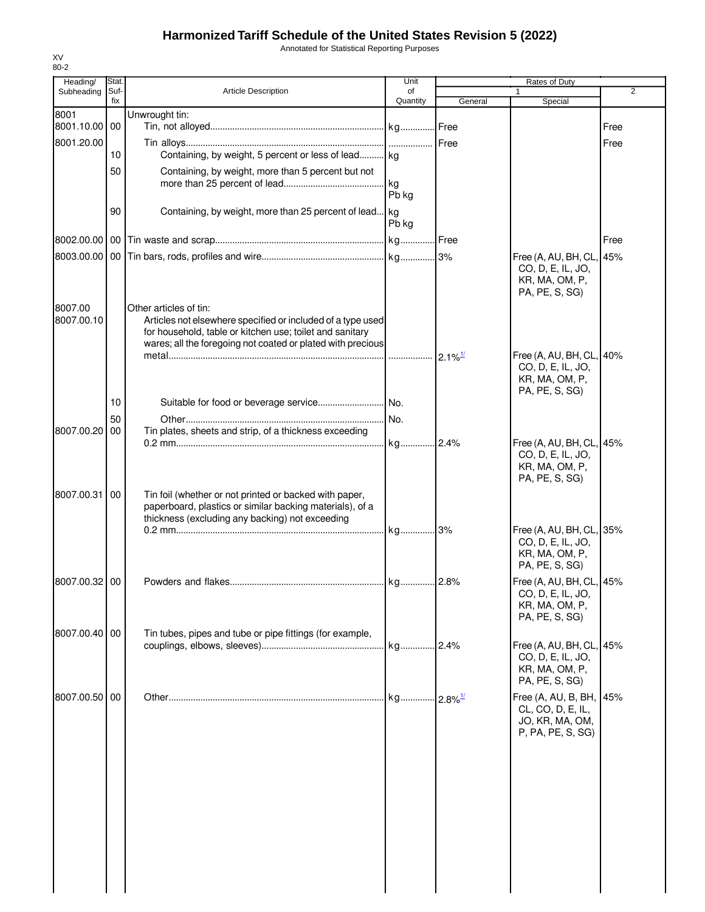# **Harmonized Tariff Schedule of the United States Revision 5 (2022)**

Annotated for Statistical Reporting Purposes

| Heading/      | Stat.       | Unit                                                                                                                    | Rates of Duty  |                       |                                                                                   |                |
|---------------|-------------|-------------------------------------------------------------------------------------------------------------------------|----------------|-----------------------|-----------------------------------------------------------------------------------|----------------|
| Subheading    | Suf-<br>fix | <b>Article Description</b>                                                                                              | of<br>Quantity | General               | Special                                                                           | $\overline{2}$ |
| 8001          |             | Unwrought tin:                                                                                                          |                |                       |                                                                                   |                |
| 8001.10.00 00 |             |                                                                                                                         |                |                       |                                                                                   | Free           |
| 8001.20.00    |             |                                                                                                                         |                | Free                  |                                                                                   | Free           |
|               | 10          | Containing, by weight, 5 percent or less of lead kg                                                                     |                |                       |                                                                                   |                |
|               | 50          | Containing, by weight, more than 5 percent but not                                                                      |                |                       |                                                                                   |                |
|               |             |                                                                                                                         | . kg           |                       |                                                                                   |                |
|               |             |                                                                                                                         | Pb kg          |                       |                                                                                   |                |
|               | 90          | Containing, by weight, more than 25 percent of lead kg                                                                  |                |                       |                                                                                   |                |
|               |             |                                                                                                                         | Pb kg          |                       |                                                                                   |                |
|               |             |                                                                                                                         | kg Free        |                       |                                                                                   | Free           |
|               |             |                                                                                                                         |                |                       | Free (A, AU, BH, CL, 45%                                                          |                |
|               |             |                                                                                                                         |                |                       | CO, D, E, IL, JO,<br>KR, MA, OM, P,<br>PA, PE, S, SG)                             |                |
| 8007.00       |             | Other articles of tin:                                                                                                  |                |                       |                                                                                   |                |
| 8007.00.10    |             | Articles not elsewhere specified or included of a type used<br>for household, table or kitchen use; toilet and sanitary |                |                       |                                                                                   |                |
|               |             | wares; all the foregoing not coated or plated with precious                                                             |                |                       |                                                                                   |                |
|               |             |                                                                                                                         |                | $2.1\%$ <sup>1/</sup> | Free (A, AU, BH, CL, 40%                                                          |                |
|               |             |                                                                                                                         |                |                       | CO, D, E, IL, JO,                                                                 |                |
|               |             |                                                                                                                         |                |                       | KR, MA, OM, P,                                                                    |                |
|               | 10          |                                                                                                                         |                |                       | PA, PE, S, SG)                                                                    |                |
|               | 50          |                                                                                                                         | No.            |                       |                                                                                   |                |
| 8007.00.20    | 00          | Tin plates, sheets and strip, of a thickness exceeding                                                                  |                |                       |                                                                                   |                |
|               |             |                                                                                                                         | kg 2.4%        |                       | Free (A, AU, BH, CL, 45%                                                          |                |
|               |             |                                                                                                                         |                |                       | CO, D, E, IL, JO,<br>KR, MA, OM, P,<br>PA, PE, S, SG)                             |                |
| 8007.00.31    | 00          | Tin foil (whether or not printed or backed with paper,<br>paperboard, plastics or similar backing materials), of a      |                |                       |                                                                                   |                |
|               |             | thickness (excluding any backing) not exceeding                                                                         |                |                       |                                                                                   |                |
|               |             |                                                                                                                         | kg 3%          |                       | Free (A, AU, BH, CL, 35%                                                          |                |
|               |             |                                                                                                                         |                |                       | CO, D, E, IL, JO,                                                                 |                |
|               |             |                                                                                                                         |                |                       | KR, MA, OM, P,<br>PA, PE, S, SG)                                                  |                |
| 8007.00.32 00 |             |                                                                                                                         |                |                       |                                                                                   |                |
|               |             |                                                                                                                         |                |                       | Free (A, AU, BH, CL, 45%<br>CO, D, E, IL, JO,<br>KR, MA, OM, P,<br>PA, PE, S, SG) |                |
| 8007.00.40 00 |             | Tin tubes, pipes and tube or pipe fittings (for example,                                                                |                |                       |                                                                                   |                |
|               |             |                                                                                                                         |                |                       | Free (A, AU, BH, CL, 45%                                                          |                |
|               |             |                                                                                                                         |                |                       | CO, D, E, IL, JO,<br>KR, MA, OM, P,<br>PA, PE, S, SG)                             |                |
| 8007.00.50 00 |             |                                                                                                                         |                |                       | Free (A, AU, B, BH, 45%                                                           |                |
|               |             |                                                                                                                         |                |                       | CL, CO, D, E, IL,<br>JO, KR, MA, OM,<br>P, PA, PE, S, SG)                         |                |
|               |             |                                                                                                                         |                |                       |                                                                                   |                |
|               |             |                                                                                                                         |                |                       |                                                                                   |                |
|               |             |                                                                                                                         |                |                       |                                                                                   |                |
|               |             |                                                                                                                         |                |                       |                                                                                   |                |
|               |             |                                                                                                                         |                |                       |                                                                                   |                |

XV 80-2